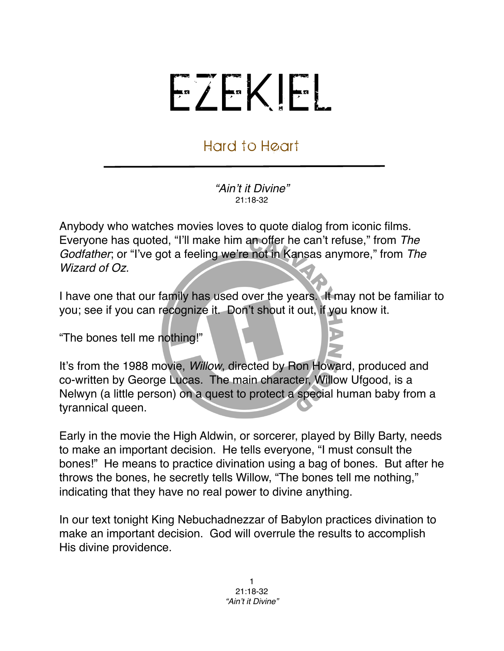## EZEKIEL

## Hard to Heart

*"Ain*'*t it Divine"* 21:18-32

Anybody who watches movies loves to quote dialog from iconic films. Everyone has quoted, "I'll make him an offer he can't refuse," from *The Godfather*; or "I've got a feeling we're not in Kansas anymore," from *The Wizard of Oz.*

I have one that our family has used over the years. It may not be familiar to you; see if you can recognize it. Don't shout it out, if you know it.

"The bones tell me nothing!"

It's from the 1988 movie, *Willow*, directed by Ron Howard, produced and co-written by George Lucas. The main character, Willow Ufgood, is a Nelwyn (a little person) on a quest to protect a special human baby from a tyrannical queen.

Early in the movie the High Aldwin, or sorcerer, played by Billy Barty, needs to make an important decision. He tells everyone, "I must consult the bones!" He means to practice divination using a bag of bones. But after he throws the bones, he secretly tells Willow, "The bones tell me nothing," indicating that they have no real power to divine anything.

In our text tonight King Nebuchadnezzar of Babylon practices divination to make an important decision. God will overrule the results to accomplish His divine providence.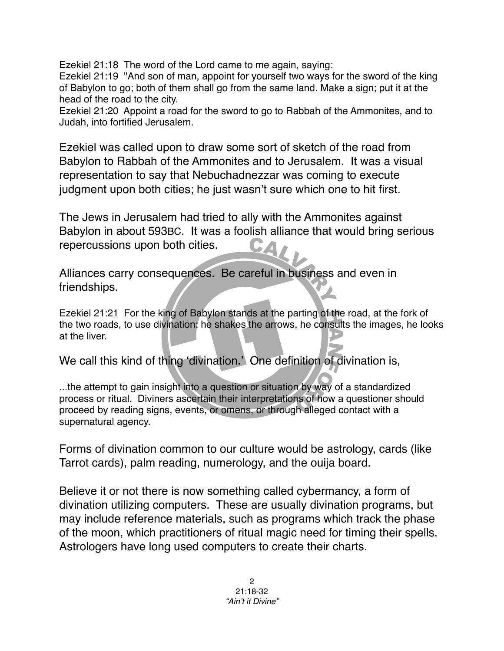Ezekiel 21:18 The word of the Lord came to me again, saying:

Ezekiel 21:19 "And son of man, appoint for yourself two ways for the sword of the king of Babylon to go; both of them shall go from the same land. Make a sign; put it at the head of the road to the city.

Ezekiel 21:20 Appoint a road for the sword to go to Rabbah of the Ammonites, and to Judah, into fortified Jerusalem.

Ezekiel was called upon to draw some sort of sketch of the road from Babylon to Rabbah of the Ammonites and to Jerusalem. It was a visual representation to say that Nebuchadnezzar was coming to execute judgment upon both cities; he just wasn't sure which one to hit first.

The Jews in Jerusalem had tried to ally with the Ammonites against Babylon in about 593BC. It was a foolish alliance that would bring serious repercussions upon both cities. CA

Alliances carry consequences. Be careful in business and even in friendships.

Ezekiel 21:21 For the king of Babylon stands at the parting of the road, at the fork of the two roads, to use divination: he shakes the arrows, he consults the images, he looks at the liver.

We call this kind of thing ʻdivination.' One definition of divination is,

...the attempt to gain insight into a question or situation by way of a standardized process or ritual. Diviners ascertain their interpretations of how a questioner should proceed by reading signs, events, or omens, or through alleged contact with a supernatural agency.

Forms of divination common to our culture would be astrology, cards (like Tarrot cards), palm reading, numerology, and the ouija board.

Believe it or not there is now something called cybermancy, a form of divination utilizing computers. These are usually divination programs, but may include reference materials, such as programs which track the phase of the moon, which practitioners of ritual magic need for timing their spells. Astrologers have long used computers to create their charts.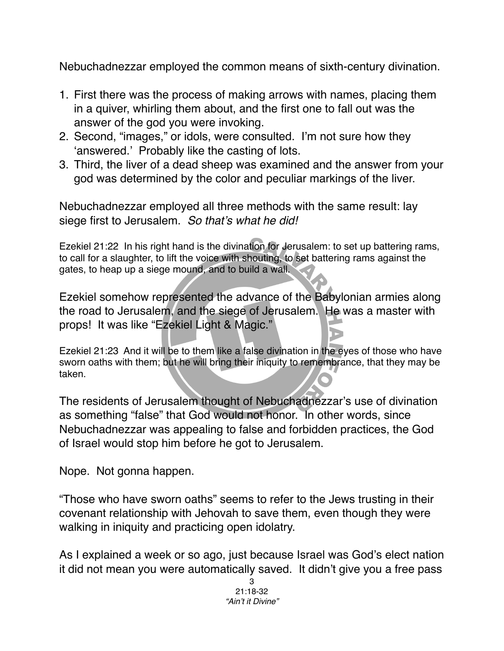Nebuchadnezzar employed the common means of sixth-century divination.

- 1. First there was the process of making arrows with names, placing them in a quiver, whirling them about, and the first one to fall out was the answer of the god you were invoking.
- 2. Second, "images," or idols, were consulted. I'm not sure how they ʻanswered.' Probably like the casting of lots.
- 3. Third, the liver of a dead sheep was examined and the answer from your god was determined by the color and peculiar markings of the liver.

Nebuchadnezzar employed all three methods with the same result: lay siege first to Jerusalem. *So that*'*s what he did!*

Ezekiel 21:22 In his right hand is the divination for Jerusalem: to set up battering rams, to call for a slaughter, to lift the voice with shouting, to set battering rams against the gates, to heap up a siege mound, and to build a wall.

Ezekiel somehow represented the advance of the Babylonian armies along the road to Jerusalem, and the siege of Jerusalem. He was a master with props! It was like "Ezekiel Light & Magic."

Ezekiel 21:23 And it will be to them like a false divination in the eyes of those who have sworn oaths with them; but he will bring their iniquity to remembrance, that they may be taken.

The residents of Jerusalem thought of Nebuchadnezzar's use of divination as something "false" that God would not honor. In other words, since Nebuchadnezzar was appealing to false and forbidden practices, the God of Israel would stop him before he got to Jerusalem.

Nope. Not gonna happen.

"Those who have sworn oaths" seems to refer to the Jews trusting in their covenant relationship with Jehovah to save them, even though they were walking in iniquity and practicing open idolatry.

As I explained a week or so ago, just because Israel was God's elect nation it did not mean you were automatically saved. It didn't give you a free pass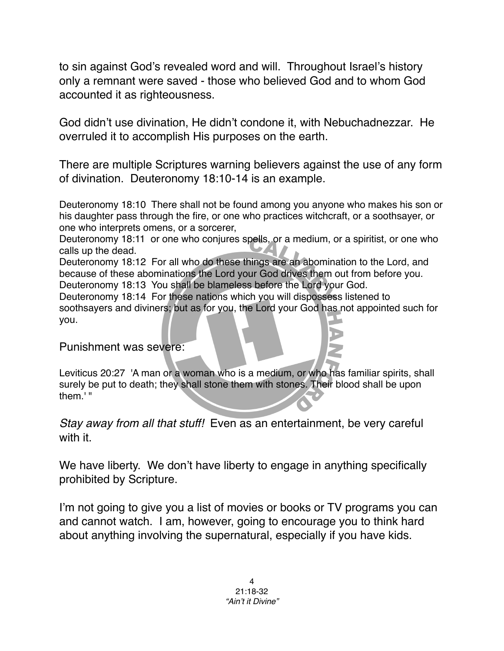to sin against God's revealed word and will. Throughout Israel's history only a remnant were saved - those who believed God and to whom God accounted it as righteousness.

God didn't use divination, He didn't condone it, with Nebuchadnezzar. He overruled it to accomplish His purposes on the earth.

There are multiple Scriptures warning believers against the use of any form of divination. Deuteronomy 18:10-14 is an example.

Deuteronomy 18:10 There shall not be found among you anyone who makes his son or his daughter pass through the fire, or one who practices witchcraft, or a soothsayer, or one who interprets omens, or a sorcerer,

Deuteronomy 18:11 or one who conjures spells, or a medium, or a spiritist, or one who calls up the dead.

Deuteronomy 18:12 For all who do these things are an abomination to the Lord, and because of these abominations the Lord your God drives them out from before you. Deuteronomy 18:13 You shall be blameless before the Lord your God.

Deuteronomy 18:14 For these nations which you will dispossess listened to soothsayers and diviners; but as for you, the Lord your God has not appointed such for you.

Punishment was severe:

Leviticus 20:27 'A man or a woman who is a medium, or who has familiar spirits, shall surely be put to death; they shall stone them with stones. Their blood shall be upon them.' "

*Stay away from all that stuff!* Even as an entertainment, be very careful with it.

We have liberty. We don't have liberty to engage in anything specifically prohibited by Scripture.

I'm not going to give you a list of movies or books or TV programs you can and cannot watch. I am, however, going to encourage you to think hard about anything involving the supernatural, especially if you have kids.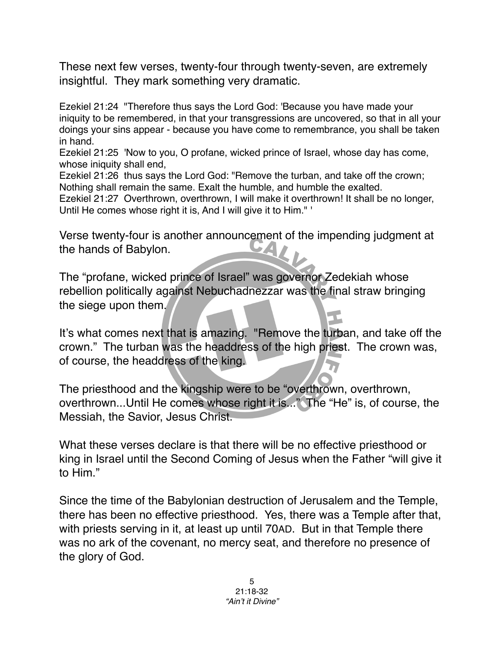These next few verses, twenty-four through twenty-seven, are extremely insightful. They mark something very dramatic.

Ezekiel 21:24 "Therefore thus says the Lord God: 'Because you have made your iniquity to be remembered, in that your transgressions are uncovered, so that in all your doings your sins appear - because you have come to remembrance, you shall be taken in hand.

Ezekiel 21:25 'Now to you, O profane, wicked prince of Israel, whose day has come, whose iniquity shall end,

Ezekiel 21:26 thus says the Lord God: "Remove the turban, and take off the crown; Nothing shall remain the same. Exalt the humble, and humble the exalted.

Ezekiel 21:27 Overthrown, overthrown, I will make it overthrown! It shall be no longer, Until He comes whose right it is, And I will give it to Him." '

Verse twenty-four is another announcement of the impending judgment at the hands of Babylon.

The "profane, wicked prince of Israel" was governor Zedekiah whose rebellion politically against Nebuchadnezzar was the final straw bringing the siege upon them.

It's what comes next that is amazing. "Remove the turban, and take off the crown." The turban was the headdress of the high priest. The crown was, of course, the headdress of the king.

The priesthood and the kingship were to be "overthrown, overthrown, overthrown...Until He comes whose right it is..." The "He" is, of course, the Messiah, the Savior, Jesus Christ.

What these verses declare is that there will be no effective priesthood or king in Israel until the Second Coming of Jesus when the Father "will give it to Him."

Since the time of the Babylonian destruction of Jerusalem and the Temple, there has been no effective priesthood. Yes, there was a Temple after that, with priests serving in it, at least up until 70AD. But in that Temple there was no ark of the covenant, no mercy seat, and therefore no presence of the glory of God.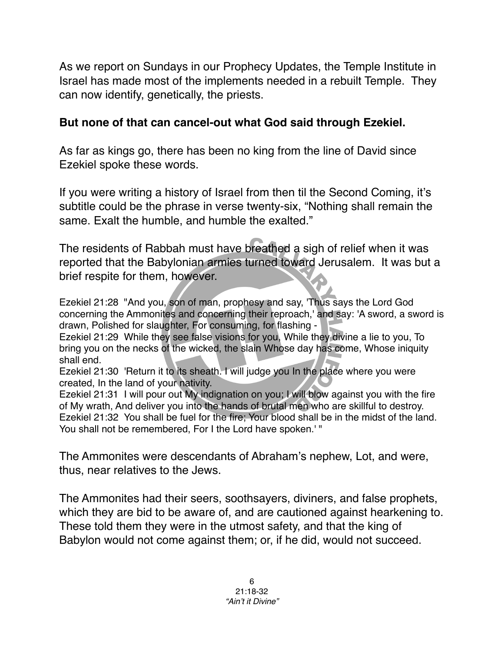As we report on Sundays in our Prophecy Updates, the Temple Institute in Israel has made most of the implements needed in a rebuilt Temple. They can now identify, genetically, the priests.

## **But none of that can cancel-out what God said through Ezekiel.**

As far as kings go, there has been no king from the line of David since Ezekiel spoke these words.

If you were writing a history of Israel from then til the Second Coming, it's subtitle could be the phrase in verse twenty-six, "Nothing shall remain the same. Exalt the humble, and humble the exalted."

The residents of Rabbah must have breathed a sigh of relief when it was reported that the Babylonian armies turned toward Jerusalem. It was but a brief respite for them, however.

Ezekiel 21:28 "And you, son of man, prophesy and say, 'Thus says the Lord God concerning the Ammonites and concerning their reproach,' and say: 'A sword, a sword is drawn, Polished for slaughter, For consuming, for flashing -

Ezekiel 21:29 While they see false visions for you, While they divine a lie to you, To bring you on the necks of the wicked, the slain Whose day has come, Whose iniquity shall end.

Ezekiel 21:30 'Return it to its sheath. I will judge you In the place where you were created, In the land of your nativity.

Ezekiel 21:31 I will pour out My indignation on you; I will blow against you with the fire of My wrath, And deliver you into the hands of brutal men who are skillful to destroy. Ezekiel 21:32 You shall be fuel for the fire; Your blood shall be in the midst of the land. You shall not be remembered, For I the Lord have spoken.' "

The Ammonites were descendants of Abraham's nephew, Lot, and were, thus, near relatives to the Jews.

The Ammonites had their seers, soothsayers, diviners, and false prophets, which they are bid to be aware of, and are cautioned against hearkening to. These told them they were in the utmost safety, and that the king of Babylon would not come against them; or, if he did, would not succeed.